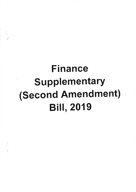# Finance **Supplementary** (Second Amendment) **Bill, 2019**

 $\label{eq:2.1} \mathbf{e}^{\alpha} \otimes \mathbf{e}^{\beta}$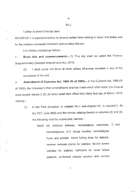A

#### BILL

Further to amend the tax laws:

WHEREAS it is expedient further to amend certain laws relating to taxes and duties and for the matters connected therewith and ancillary thereto;

It is hereby enacted as follows: -

Ĉ

1. Short title and commencement.- (1) This Act shall be called the Finance Supplementary (Second Amendment) Act, 2019.

(2) lt shall come into force at once unless otherwise provided in any of the provisions of this Act.

2. Amendment of Customs Act, 1969 (IV of 1969). In the Customs Act, 1969 (IV of 1969), the following further amendments shall be made which shall come into force at once except clause 2 (2) (ii) which shall take effect from thirty first day of March, 2019, namely; -

(1) In the First Schedule, in chapter 99, in sub-chapter-VII, in column(1), for the PCT code 9925 and the entries relating thereto in columns (2) and (3), the following shall be substituted, namely: -

> "9925 (A) Artificial kidneys, hemodialysis machines, 0"; and hemodialyzers, A.V. fistula needles, hemodialysis fluids and powder, blood tubing tines for dialysis, reverse osmosis plants for dialysis, double lumen catheter for dialysis, cathelers for renal failure patients, peritoneal dialysis solution and cardiac

> > $\mathbf{1}$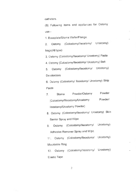catheters.

(B) Following items and appliances for Ostomy use -

1. Baseplate/Stoma Wafer/Flange.

Ostomy (Colostomy/lleostomy/ Urostomy)  $2.$ bags(All type)

3. Ostomy (Colostomy/lleostomy/ Urostomy) Paste

4. Ostomy (Colostomy/Ileostomy/ Urostomy) Belt

Ostomy (Colostomy/lleostomy/ Urostomy) 5. Deodorizers

6. Ostomy (Colostomy/ Ileostomy/ Urostomy) Strip Paste

| 7.                             | Stoma   | Powder/Ostomy              | Powder |
|--------------------------------|---------|----------------------------|--------|
| (Colostomy/Illeostomy/Urostomy | Powder/ |                            |        |
|                                |         | lleostomy/Urostomy Powder) |        |

- 8. Ostomy (Colostomy/lleostomy/ Urostomy) Skin Barrier Spray and Wipe
- Ostomy (Colostomy/lleostomy/ Urostomy) 9. Adhesive Remover Spray and Wipe.

11. Ostomy (Colostomy/lleostomy/ Urostomy) Mouldable Ring

Ostomy (Colostomy/lleostomy/ Urostomy)  $12.$ Elastic Tape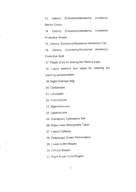13. ostomy (Colostomy/lleostomy/ Urostomy) Barrier Cream

14. Ostomy (Colostomy/lleostomy/ Urostomy) Protective Sheets

'15. Ostomy (Colostomy/lleostomy/ Urostomy) Cap

16. Ostomy (Coiostomy/lleostomy/ Urostomy) Protective Seal

17. Plastic Clips for closing the Ostomy bags.

18. Liquid washers and wipes for cleaning anr washing peristomalskin

19. Night Drainage Bag

20. Cystoscope

21. Lithotripter

22. Colonoscope

23. Sigmoidoscope

24. Laparoscope

25. Suprapubic Cystostomy Set

26. Ryles Tube (Nasogastric Tube)

27. Foley's Catheter

28. Endoscope (Video Endoscopes)

29. Linear Cutter/Stapler

30. Circular Stapler

Ğ,

31. Right Angle Cutter/Stapler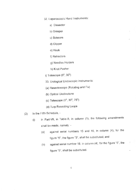- 32. L aparoscopic Hand lnstruments:
	- a) Dissector
	- b) Grasper
	- c) Scissors
	- d) Clipper
	- e) Hook
	- f) Retractors
	- g) Needles Holders
	- h) Knot Pusher
- i) Telescope (0°, 30°)
- 33. Urological Endoscopic lnstruments
- (a) Resectoscope (Rotating and Fix)
- (b) Optical Urethrotone
- (c) Telescope (0°, 30°, 75°)
- (d) Turp Resecting Loops
- (2) ln the Fifth Schedule,
	- (i) in Part-VII, in Table-B, in column (1), the following amendments shall be made, namely: -
		- (a) against serial numbers  $15$  and  $16$ , in column (4), for the figure "5", the figure "3", shall be substituted; and
		- (b) against serial number 18, in column  $(4)$ , for the figure "5", the figure "0", shall be substituted.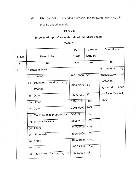shall be added, namely: - (ii) After Part-Vll, as amended aforesaid, the following new "Part-Vlll",

#### "Part-VIII

## Imports of inputs/raw materials of Industrial Sector

### TABLE

|        |                                                 | PCT       | Customs     | <b>Conditions</b>                |
|--------|-------------------------------------------------|-----------|-------------|----------------------------------|
| S. No. | Description                                     | Code      | Duty $(\%)$ |                                  |
| (1)    | (2)                                             | (3)       | (4)         | (5)                              |
| 1      | <b>Footwear Sector:</b>                         |           |             | imported<br>by<br>If             |
|        | Toluene<br>(i)                                  | 2902.3000 | 3%          | of<br>manufacturers              |
|        | ethyl<br>(methyl<br>Butanone<br>(ii)<br>ketone) | 2914.1200 | 3%          | Footwear,<br>under<br>registered |
|        | Other<br>(iii)                                  | 3207.1090 | 3%          | the Sales Tax Act,               |
|        | Other<br>(iv)                                   | 3208.1090 | 20%         | 1990                             |
|        | Other<br>(v)                                    | 3208.9090 | 20%         |                                  |
|        | Mould release preparations<br>(vi)              | 3403.9910 | 3%          |                                  |
|        | (vii) Shoe adhesives                            | 3506.9110 | 16%         |                                  |
|        | (viii) Other                                    | 3506.9190 | 16%         |                                  |
|        | Shoe lasts<br>(ix)                              | 3926.9060 | 16%         |                                  |
|        | Other<br>(x)                                    | 4005.1090 | 11%         |                                  |
|        | Other<br>(xi)                                   | 4005.9900 | 11%         |                                  |
|        | (xii) Machinery for making<br>or                | 8453.2000 | 0%          |                                  |
|        |                                                 |           |             |                                  |

)

 $\stackrel{\scriptscriptstyle \ast}{\scriptscriptstyle \circ}$